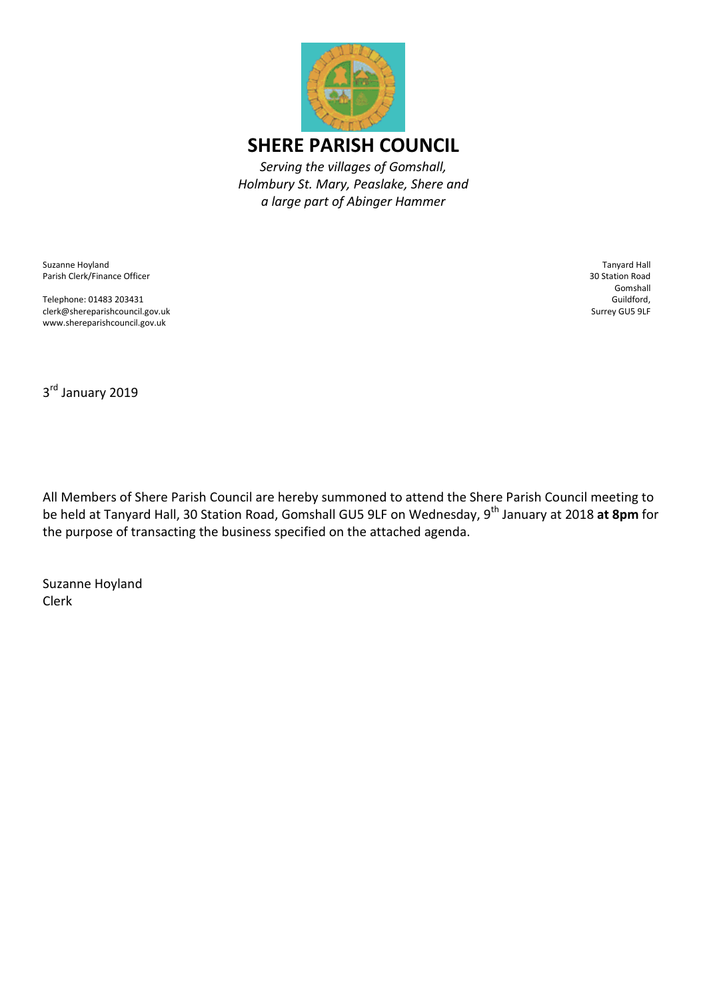

Suzanne Hoyland Parish Clerk/Finance Officer

Telephone: 01483 203431 clerk@shereparishcouncil.gov.uk www.shereparishcouncil.gov.uk

Tanyard Hall 30 Station Road Gomshall Guildford, Surrey GU5 9LF

3<sup>rd</sup> January 2019

All Members of Shere Parish Council are hereby summoned to attend the Shere Parish Council meeting to be held at Tanyard Hall, 30 Station Road, Gomshall GU5 9LF on Wednesday, 9<sup>th</sup> January at 2018 at 8pm for the purpose of transacting the business specified on the attached agenda.

Suzanne Hoyland Clerk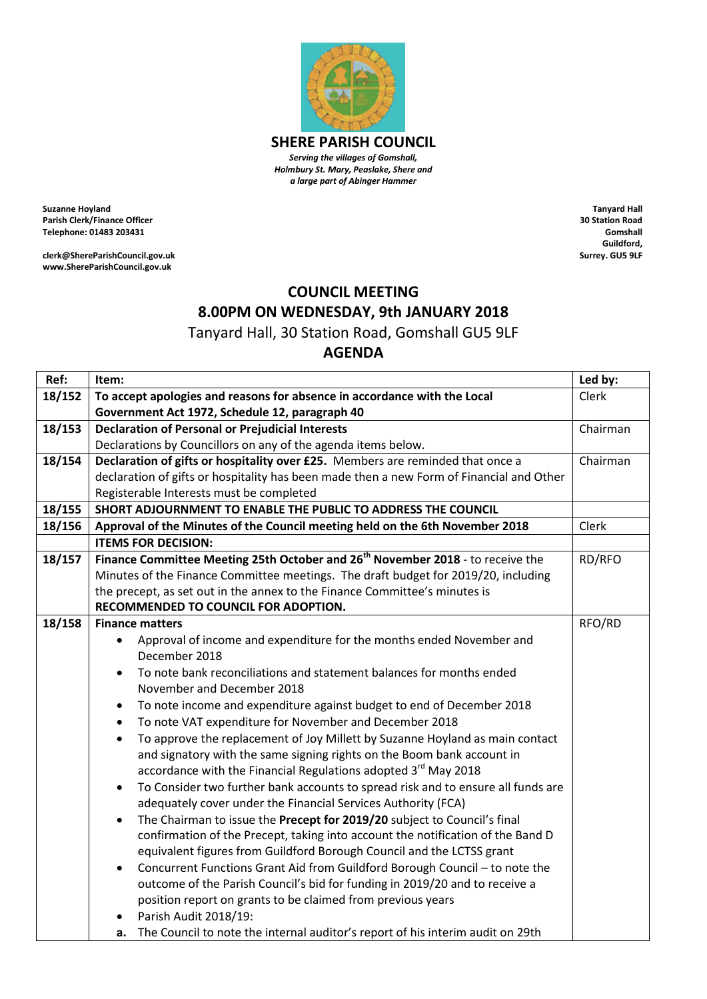

*Serving the villages of Gomshall, Holmbury St. Mary, Peaslake, Shere and a large part of Abinger Hammer*

**Suzanne Hoyland Parish Clerk/Finance Officer Telephone: 01483 203431**

**clerk@ShereParishCouncil.gov.uk www.ShereParishCouncil.gov.uk**

**Tanyard Hall 30 Station Road Gomshall Guildford, Surrey. GU5 9LF**

## **COUNCIL MEETING 8.00PM ON WEDNESDAY, 9th JANUARY 2018**

Tanyard Hall, 30 Station Road, Gomshall GU5 9LF

## **AGENDA**

| Ref:   | Item:                                                                                                                                                | Led by:  |
|--------|------------------------------------------------------------------------------------------------------------------------------------------------------|----------|
| 18/152 | To accept apologies and reasons for absence in accordance with the Local                                                                             | Clerk    |
|        | Government Act 1972, Schedule 12, paragraph 40                                                                                                       |          |
| 18/153 | <b>Declaration of Personal or Prejudicial Interests</b>                                                                                              | Chairman |
|        | Declarations by Councillors on any of the agenda items below.                                                                                        |          |
| 18/154 | Declaration of gifts or hospitality over £25. Members are reminded that once a                                                                       | Chairman |
|        | declaration of gifts or hospitality has been made then a new Form of Financial and Other                                                             |          |
|        | Registerable Interests must be completed                                                                                                             |          |
| 18/155 | SHORT ADJOURNMENT TO ENABLE THE PUBLIC TO ADDRESS THE COUNCIL                                                                                        |          |
| 18/156 | Approval of the Minutes of the Council meeting held on the 6th November 2018                                                                         | Clerk    |
|        | <b>ITEMS FOR DECISION:</b>                                                                                                                           |          |
| 18/157 | Finance Committee Meeting 25th October and 26 <sup>th</sup> November 2018 - to receive the                                                           | RD/RFO   |
|        | Minutes of the Finance Committee meetings. The draft budget for 2019/20, including                                                                   |          |
|        | the precept, as set out in the annex to the Finance Committee's minutes is                                                                           |          |
|        | RECOMMENDED TO COUNCIL FOR ADOPTION.                                                                                                                 |          |
| 18/158 | <b>Finance matters</b>                                                                                                                               | RFO/RD   |
|        | Approval of income and expenditure for the months ended November and<br>$\bullet$                                                                    |          |
|        | December 2018                                                                                                                                        |          |
|        | To note bank reconciliations and statement balances for months ended<br>$\bullet$                                                                    |          |
|        | November and December 2018                                                                                                                           |          |
|        | To note income and expenditure against budget to end of December 2018<br>٠                                                                           |          |
|        | To note VAT expenditure for November and December 2018<br>$\bullet$                                                                                  |          |
|        | To approve the replacement of Joy Millett by Suzanne Hoyland as main contact<br>$\bullet$                                                            |          |
|        | and signatory with the same signing rights on the Boom bank account in                                                                               |          |
|        | accordance with the Financial Regulations adopted 3 <sup>rd</sup> May 2018                                                                           |          |
|        | To Consider two further bank accounts to spread risk and to ensure all funds are<br>$\bullet$                                                        |          |
|        | adequately cover under the Financial Services Authority (FCA)                                                                                        |          |
|        | The Chairman to issue the Precept for 2019/20 subject to Council's final<br>$\bullet$                                                                |          |
|        | confirmation of the Precept, taking into account the notification of the Band D                                                                      |          |
|        | equivalent figures from Guildford Borough Council and the LCTSS grant<br>Concurrent Functions Grant Aid from Guildford Borough Council - to note the |          |
|        | $\bullet$<br>outcome of the Parish Council's bid for funding in 2019/20 and to receive a                                                             |          |
|        | position report on grants to be claimed from previous years                                                                                          |          |
|        | Parish Audit 2018/19:                                                                                                                                |          |
|        | The Council to note the internal auditor's report of his interim audit on 29th<br>а.                                                                 |          |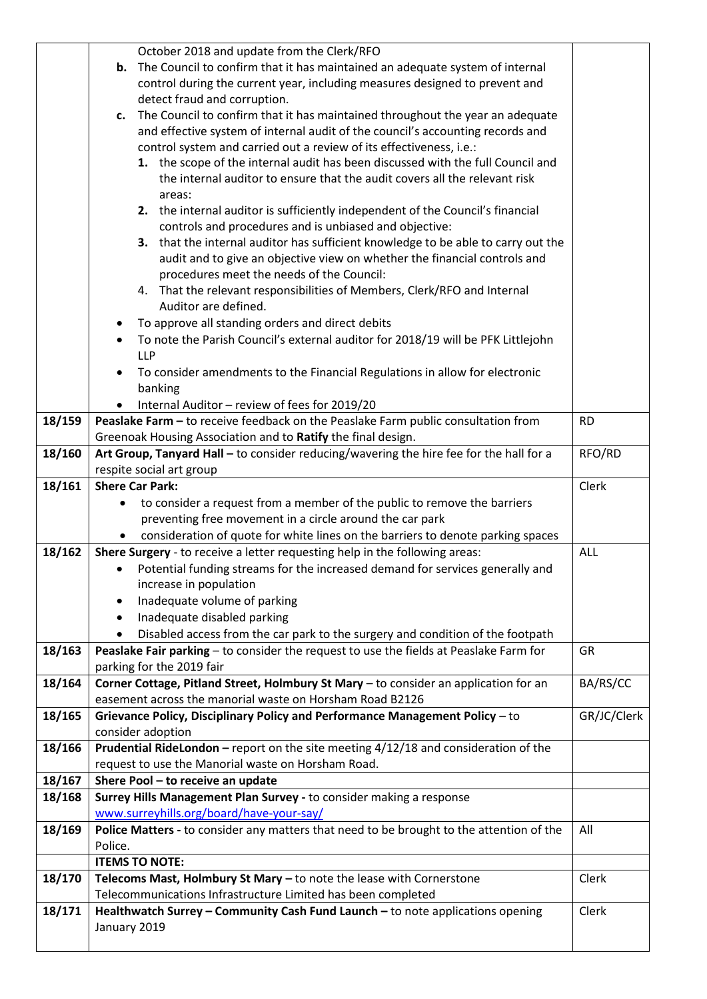|        | October 2018 and update from the Clerk/RFO                                                   |             |
|--------|----------------------------------------------------------------------------------------------|-------------|
|        | The Council to confirm that it has maintained an adequate system of internal<br>b.           |             |
|        | control during the current year, including measures designed to prevent and                  |             |
|        | detect fraud and corruption.                                                                 |             |
|        |                                                                                              |             |
|        | The Council to confirm that it has maintained throughout the year an adequate<br>c.          |             |
|        | and effective system of internal audit of the council's accounting records and               |             |
|        | control system and carried out a review of its effectiveness, i.e.:                          |             |
|        | 1. the scope of the internal audit has been discussed with the full Council and              |             |
|        | the internal auditor to ensure that the audit covers all the relevant risk                   |             |
|        | areas:                                                                                       |             |
|        | 2. the internal auditor is sufficiently independent of the Council's financial               |             |
|        | controls and procedures and is unbiased and objective:                                       |             |
|        | 3. that the internal auditor has sufficient knowledge to be able to carry out the            |             |
|        | audit and to give an objective view on whether the financial controls and                    |             |
|        | procedures meet the needs of the Council:                                                    |             |
|        | 4. That the relevant responsibilities of Members, Clerk/RFO and Internal                     |             |
|        | Auditor are defined.                                                                         |             |
|        | To approve all standing orders and direct debits<br>٠                                        |             |
|        | To note the Parish Council's external auditor for 2018/19 will be PFK Littlejohn             |             |
|        | <b>LLP</b>                                                                                   |             |
|        | To consider amendments to the Financial Regulations in allow for electronic<br>$\bullet$     |             |
|        | banking                                                                                      |             |
|        | Internal Auditor - review of fees for 2019/20                                                |             |
| 18/159 | Peaslake Farm - to receive feedback on the Peaslake Farm public consultation from            | <b>RD</b>   |
|        | Greenoak Housing Association and to Ratify the final design.                                 |             |
| 18/160 | Art Group, Tanyard Hall - to consider reducing/wavering the hire fee for the hall for a      | RFO/RD      |
|        | respite social art group                                                                     |             |
| 18/161 | <b>Shere Car Park:</b>                                                                       | Clerk       |
|        | to consider a request from a member of the public to remove the barriers                     |             |
|        | preventing free movement in a circle around the car park                                     |             |
|        |                                                                                              |             |
| 18/162 | consideration of quote for white lines on the barriers to denote parking spaces              | ALL         |
|        | Shere Surgery - to receive a letter requesting help in the following areas:                  |             |
|        | Potential funding streams for the increased demand for services generally and                |             |
|        | increase in population                                                                       |             |
|        | Inadequate volume of parking                                                                 |             |
|        | Inadequate disabled parking<br>٠                                                             |             |
|        | Disabled access from the car park to the surgery and condition of the footpath<br>$\bullet$  |             |
| 18/163 | Peaslake Fair parking - to consider the request to use the fields at Peaslake Farm for       | <b>GR</b>   |
|        | parking for the 2019 fair                                                                    |             |
| 18/164 | Corner Cottage, Pitland Street, Holmbury St Mary - to consider an application for an         | BA/RS/CC    |
|        | easement across the manorial waste on Horsham Road B2126                                     |             |
| 18/165 | Grievance Policy, Disciplinary Policy and Performance Management Policy - to                 | GR/JC/Clerk |
|        | consider adoption                                                                            |             |
| 18/166 | <b>Prudential RideLondon</b> - report on the site meeting $4/12/18$ and consideration of the |             |
|        | request to use the Manorial waste on Horsham Road.                                           |             |
| 18/167 | Shere Pool - to receive an update                                                            |             |
| 18/168 | Surrey Hills Management Plan Survey - to consider making a response                          |             |
|        | www.surreyhills.org/board/have-your-say/                                                     |             |
| 18/169 | Police Matters - to consider any matters that need to be brought to the attention of the     | All         |
|        | Police.                                                                                      |             |
|        | <b>ITEMS TO NOTE:</b>                                                                        |             |
| 18/170 | Telecoms Mast, Holmbury St Mary - to note the lease with Cornerstone                         | Clerk       |
|        | Telecommunications Infrastructure Limited has been completed                                 |             |
| 18/171 | Healthwatch Surrey - Community Cash Fund Launch - to note applications opening               | Clerk       |
|        | January 2019                                                                                 |             |
|        |                                                                                              |             |